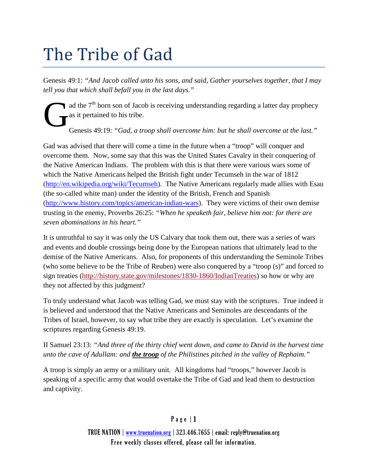# The Tribe of Gad

Genesis 49:1: *"And Jacob called unto his sons, and said, Gather yourselves together, that I may tell you that which shall befall you in the last days."*

ad the  $7<sup>th</sup>$  born son of Jacob is receiving understanding regarding a latter day prophecy as it pertained to his tribe. G

Genesis 49:19: *"Gad, a troop shall overcome him: but he shall overcome at the last."*

Gad was advised that there will come a time in the future when a "troop" will conquer and overcome them. Now, some say that this was the United States Cavalry in their conquering of the Native American Indians. The problem with this is that there were various wars some of which the Native Americans helped the British fight under Tecumseh in the war of 1812 [\(http://en.wikipedia.org/wiki/Tecumseh\)](http://en.wikipedia.org/wiki/Tecumseh). The Native Americans regularly made allies with Esau (the so-called white man) under the identity of the British, French and Spanish [\(http://www.history.com/topics/american-indian-wars\)](http://www.history.com/topics/american-indian-wars). They were victims of their own demise trusting in the enemy, Proverbs 26:25: *"When he speaketh fair, believe him not: for there are seven abominations in his heart."*

It is untruthful to say it was only the US Calvary that took them out, there was a series of wars and events and double crossings being done by the European nations that ultimately lead to the demise of the Native Americans. Also, for proponents of this understanding the Seminole Tribes (who some believe to be the Tribe of Reuben) were also conquered by a "troop (s)" and forced to sign treaties [\(http://history.state.gov/milestones/1830-1860/IndianTreaties\)](http://history.state.gov/milestones/1830-1860/IndianTreaties) so how or why are they not affected by this judgment?

To truly understand what Jacob was telling Gad, we must stay with the scriptures. True indeed it is believed and understood that the Native Americans and Seminoles are descendants of the Tribes of Israel, however, to say what tribe they are exactly is speculation. Let's examine the scriptures regarding Genesis 49:19.

II Samuel 23:13: *"And three of the thirty chief went down, and came to David in the harvest time unto the cave of Adullam: and the troop of the Philistines pitched in the valley of Rephaim."*

A troop is simply an army or a military unit. All kingdoms had "troops," however Jacob is speaking of a specific army that would overtake the Tribe of Gad and lead them to destruction and captivity.

## Page | 1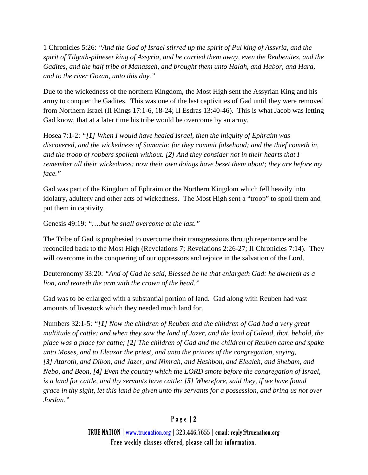1 Chronicles 5:26: *"And the God of Israel stirred up the spirit of Pul king of Assyria, and the spirit of Tilgath-pilneser king of Assyria, and he carried them away, even the Reubenites, and the Gadites, and the half tribe of Manasseh, and brought them unto Halah, and Habor, and Hara, and to the river Gozan, unto this day."*

Due to the wickedness of the northern Kingdom, the Most High sent the Assyrian King and his army to conquer the Gadites. This was one of the last captivities of Gad until they were removed from Northern Israel (II Kings 17:1-6, 18-24; II Esdras 13:40-46). This is what Jacob was letting Gad know, that at a later time his tribe would be overcome by an army.

Hosea 7:1-2: *"[1] When I would have healed Israel, then the iniquity of Ephraim was discovered, and the wickedness of Samaria: for they commit falsehood; and the thief cometh in, and the troop of robbers spoileth without. [2] And they consider not in their hearts that I remember all their wickedness: now their own doings have beset them about; they are before my face."*

Gad was part of the Kingdom of Ephraim or the Northern Kingdom which fell heavily into idolatry, adultery and other acts of wickedness. The Most High sent a "troop" to spoil them and put them in captivity.

Genesis 49:19: *"….but he shall overcome at the last."*

The Tribe of Gad is prophesied to overcome their transgressions through repentance and be reconciled back to the Most High (Revelations 7; Revelations 2:26-27; II Chronicles 7:14). They will overcome in the conquering of our oppressors and rejoice in the salvation of the Lord.

Deuteronomy 33:20: *"And of Gad he said, Blessed be he that enlargeth Gad: he dwelleth as a lion, and teareth the arm with the crown of the head."*

Gad was to be enlarged with a substantial portion of land. Gad along with Reuben had vast amounts of livestock which they needed much land for.

Numbers 32:1-5: *"[1] Now the children of Reuben and the children of Gad had a very great multitude of cattle: and when they saw the land of Jazer, and the land of Gilead, that, behold, the place was a place for cattle; [2] The children of Gad and the children of Reuben came and spake unto Moses, and to Eleazar the priest, and unto the princes of the congregation, saying, [3] Ataroth, and Dibon, and Jazer, and Nimrah, and Heshbon, and Elealeh, and Shebam, and Nebo, and Beon, [4] Even the country which the LORD smote before the congregation of Israel, is a land for cattle, and thy servants have cattle: [5] Wherefore, said they, if we have found grace in thy sight, let this land be given unto thy servants for a possession, and bring us not over Jordan."*

## Page | 2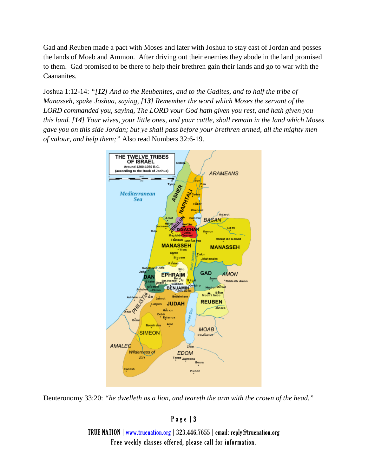Gad and Reuben made a pact with Moses and later with Joshua to stay east of Jordan and posses the lands of Moab and Ammon. After driving out their enemies they abode in the land promised to them. Gad promised to be there to help their brethren gain their lands and go to war with the Caananites.

Joshua 1:12-14: *"[12] And to the Reubenites, and to the Gadites, and to half the tribe of Manasseh, spake Joshua, saying, [13] Remember the word which Moses the servant of the LORD commanded you, saying, The LORD your God hath given you rest, and hath given you this land. [14] Your wives, your little ones, and your cattle, shall remain in the land which Moses gave you on this side Jordan; but ye shall pass before your brethren armed, all the mighty men of valour, and help them;"* Also read Numbers 32:6-19.



Deuteronomy 33:20: *"he dwelleth as a lion, and teareth the arm with the crown of the head."*

### Page | 3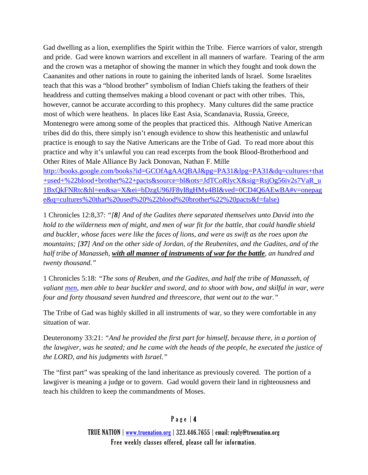Gad dwelling as a lion, exemplifies the Spirit within the Tribe. Fierce warriors of valor, strength and pride. Gad were known warriors and excellent in all manners of warfare. Tearing of the arm and the crown was a metaphor of showing the manner in which they fought and took down the Caananites and other nations in route to gaining the inherited lands of Israel. Some Israelites teach that this was a "blood brother" symbolism of Indian Chiefs taking the feathers of their headdress and cutting themselves making a blood covenant or pact with other tribes. This, however, cannot be accurate according to this prophecy. Many cultures did the same practice most of which were heathens. In places like East Asia, Scandanavia, Russia, Greece, Montenegro were among some of the peoples that practiced this. Although Native American tribes did do this, there simply isn't enough evidence to show this heathenistic and unlawful practice is enough to say the Native Americans are the Tribe of Gad. To read more about this practice and why it's unlawful you can read excerpts from the book Blood-Brotherhood and Other Rites of Male Alliance By Jack Donovan, Nathan F. Mille

[http://books.google.com/books?id=GCOfAgAAQBAJ&pg=PA31&lpg=PA31&dq=cultures+that](http://books.google.com/books?id=GCOfAgAAQBAJ&pg=PA31&lpg=PA31&dq=cultures+that+used+%22blood+brother%22+pacts&source=bl&ots=JdTCoRlycX&sig=RsjOg56iv2s7VaR_u1BxQkFNRtc&hl=en&sa=X&ei=bDzgU96JF8yI8gHMy4BI&ved=0CD4Q6AEwBA%23v=onepage&q=cultures%20that%20used%20%22blood%20brother%22%20pacts&f=false)) [+used+%22blood+brother%22+pacts&source=bl&ots=JdTCoRlycX&sig=RsjOg56iv2s7VaR\\_u](http://books.google.com/books?id=GCOfAgAAQBAJ&pg=PA31&lpg=PA31&dq=cultures+that+used+%22blood+brother%22+pacts&source=bl&ots=JdTCoRlycX&sig=RsjOg56iv2s7VaR_u1BxQkFNRtc&hl=en&sa=X&ei=bDzgU96JF8yI8gHMy4BI&ved=0CD4Q6AEwBA%23v=onepage&q=cultures%20that%20used%20%22blood%20brother%22%20pacts&f=false)) [1BxQkFNRtc&hl=en&sa=X&ei=bDzgU96JF8yI8gHMy4BI&ved=0CD4Q6AEwBA#v=onepag](http://books.google.com/books?id=GCOfAgAAQBAJ&pg=PA31&lpg=PA31&dq=cultures+that+used+%22blood+brother%22+pacts&source=bl&ots=JdTCoRlycX&sig=RsjOg56iv2s7VaR_u1BxQkFNRtc&hl=en&sa=X&ei=bDzgU96JF8yI8gHMy4BI&ved=0CD4Q6AEwBA%23v=onepage&q=cultures%20that%20used%20%22blood%20brother%22%20pacts&f=false)) [e&q=cultures%20that%20used%20%22blood%20brother%22%20pacts&f=false\)](http://books.google.com/books?id=GCOfAgAAQBAJ&pg=PA31&lpg=PA31&dq=cultures+that+used+%22blood+brother%22+pacts&source=bl&ots=JdTCoRlycX&sig=RsjOg56iv2s7VaR_u1BxQkFNRtc&hl=en&sa=X&ei=bDzgU96JF8yI8gHMy4BI&ved=0CD4Q6AEwBA%23v=onepage&q=cultures%20that%20used%20%22blood%20brother%22%20pacts&f=false))

1 Chronicles 12:8,37: *"[8] And of the Gadites there separated themselves unto David into the hold to the wilderness men of might, and men of war fit for the battle, that could handle shield and buckler, whose faces were like the faces of lions, and were as swift as the roes upon the mountains; [37] And on the other side of Jordan, of the Reubenites, and the Gadites, and of the half tribe of Manasseh, with all manner of instruments of war for the battle, an hundred and twenty thousand."*

1 Chronicles 5:18: *"The sons of Reuben, and the Gadites, and half the tribe of Manasseh, of valiant [men,](http://quod.lib.umich.edu/cgi/k/kjv/kjv-idx?type=DIV2&byte=1680782) men able to bear buckler and sword, and to shoot with bow, and skilful in war, were four and forty thousand seven hundred and threescore, that went out to the war."*

The Tribe of Gad was highly skilled in all instruments of war, so they were comfortable in any situation of war.

Deuteronomy 33:21: *"And he provided the first part for himself, because there, in a portion of the lawgiver, was he seated; and he came with the heads of the people, he executed the justice of the LORD, and his judgments with Israel."*

The "first part" was speaking of the land inheritance as previously covered. The portion of a lawgiver is meaning a judge or to govern. Gad would govern their land in righteousness and teach his children to keep the commandments of Moses.

## Page | 4